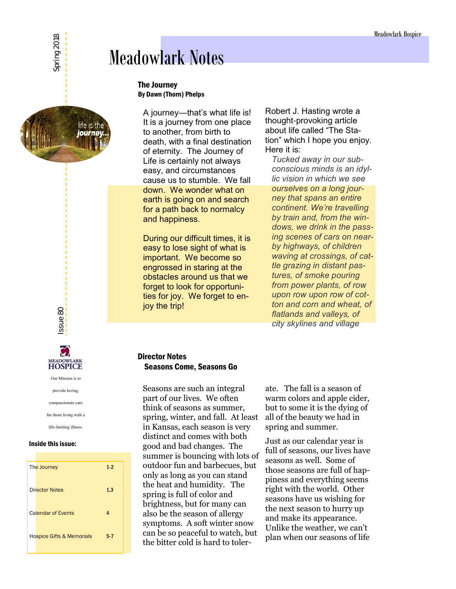## Meadowlark Notes

#### The Journey By Dawn (Thorn) Phelps

A journey—that's what life is! It is a journey from one place to another, from birth to death, with a final destination of eternity. The Journey of Life is certainly not always easy, and circumstances cause us to stumble. We fall down. We wonder what on earth is going on and search for a path back to normalcy and happiness.

During our difficult times, it is easy to lose sight of what is important. We become so engrossed in staring at the obstacles around us that we forget to look for opportunities for joy. We forget to enjoy the trip!

Robert J. Hasting wrote a thought-provoking article about life called "The Station" which I hope you enjoy. Here it is:

*Tucked away in our subconscious minds is an idyllic vision in which we see ourselves on a long journey that spans an entire continent. We're travelling by train and, from the windows, we drink in the passing scenes of cars on nearby highways, of children waving at crossings, of cattle grazing in distant pastures, of smoke pouring from power plants, of row upon row upon row of cotton and corn and wheat, of flatlands and valleys, of city skylines and village* 

C) MEADOWLARK<br>HOSPICE Our Mission is to provide loving, compassionate care for those living with a life-limiting illness.

ssue 80

#### Inside this issue:

| The Journey                          | $1 - 2$ |
|--------------------------------------|---------|
| <b>Director Notes</b>                | 1,3     |
| <b>Calendar of Events</b>            | 4       |
| <b>Hospice Gifts &amp; Memorials</b> | $5 - 7$ |

### Director Notes Seasons Come, Seasons Go

Seasons are such an integral part of our lives. We often think of seasons as summer, spring, winter, and fall. At least in Kansas, each season is very distinct and comes with both good and bad changes. The summer is bouncing with lots of outdoor fun and barbecues, but only as long as you can stand the heat and humidity. The spring is full of color and brightness, but for many can also be the season of allergy symptoms. A soft winter snow can be so peaceful to watch, but the bitter cold is hard to toler-

ate. The fall is a season of warm colors and apple cider, but to some it is the dying of all of the beauty we had in spring and summer.

Just as our calendar year is full of seasons, our lives have seasons as well. Some of those seasons are full of happiness and everything seems right with the world. Other seasons have us wishing for the next season to hurry up and make its appearance. Unlike the weather, we can't plan when our seasons of life

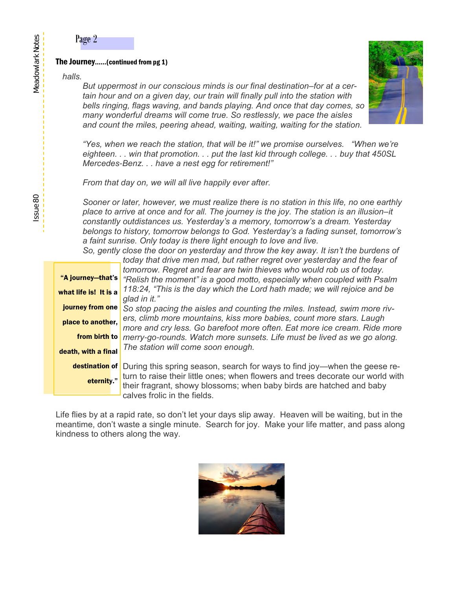### The Journey……(continued from pg 1)

### *halls.*

Page 2

*But uppermost in our conscious minds is our final destination–for at a certain hour and on a given day, our train will finally pull into the station with bells ringing, flags waving, and bands playing. And once that day comes, so many wonderful dreams will come true. So restlessly, we pace the aisles and count the miles, peering ahead, waiting, waiting, waiting for the station.*



*From that day on, we will all live happily ever after.*

*Sooner or later, however, we must realize there is no station in this life, no one earthly place to arrive at once and for all. The journey is the joy. The station is an illusion–it constantly outdistances us. Yesterday's a memory, tomorrow's a dream. Yesterday belongs to history, tomorrow belongs to God. Yesterday's a fading sunset, tomorrow's a faint sunrise. Only today is there light enough to love and live. So, gently close the door on yesterday and throw the key away. It isn't the burdens of* 

|  | ently close the door on yesterday and throw the key away. It isn't the burdens of         |
|--|-------------------------------------------------------------------------------------------|
|  | today that drive men mad, but rather regret over yesterday and the fear of                |
|  | tomorrow. Regret and fear are twin thieves who would rob us of today.                     |
|  | hat's <mark>Felish the moment" is a good motto, especially when coupled with Psalm</mark> |

*118:24, "This is the day which the Lord hath made; we will rejoice and be glad in it."*

**journey from one** So stop pacing the aisles and counting the miles. Instead, swim more riv*ers, climb more mountains, kiss more babies, count more stars. Laugh more and cry less. Go barefoot more often. Eat more ice cream. Ride more merry-go-rounds. Watch more sunsets. Life must be lived as we go along. The station will come soon enough.* place to another, from birth to death, with a final

destination of During this spring season, search for ways to find joy—when the geese return to raise their little ones; when flowers and trees decorate our world with their fragrant, showy blossoms; when baby birds are hatched and baby calves frolic in the fields. eternity."

Life flies by at a rapid rate, so don't let your days slip away. Heaven will be waiting, but in the meantime, don't waste a single minute. Search for joy. Make your life matter, and pass along kindness to others along the way.



Meadowlark Notes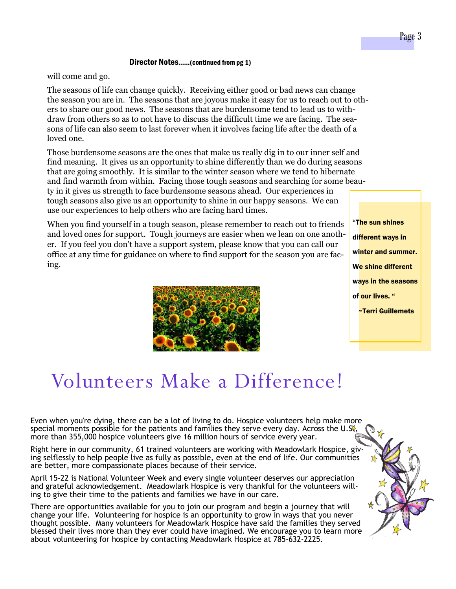### Director Notes……(continued from pg 1)

will come and go.

The seasons of life can change quickly. Receiving either good or bad news can change the season you are in. The seasons that are joyous make it easy for us to reach out to others to share our good news. The seasons that are burdensome tend to lead us to withdraw from others so as to not have to discuss the difficult time we are facing. The seasons of life can also seem to last forever when it involves facing life after the death of a loved one.

Those burdensome seasons are the ones that make us really dig in to our inner self and find meaning. It gives us an opportunity to shine differently than we do during seasons that are going smoothly. It is similar to the winter season where we tend to hibernate and find warmth from within. Facing those tough seasons and searching for some beauty in it gives us strength to face burdensome seasons ahead. Our experiences in tough seasons also give us an opportunity to shine in our happy seasons. We can use our experiences to help others who are facing hard times.

When you find yourself in a tough season, please remember to reach out to friends and loved ones for support. Tough journeys are easier when we lean on one another. If you feel you don't have a support system, please know that you can call our office at any time for guidance on where to find support for the season you are facing.



"The sun shines different ways in winter and summer. We shine different ways in the seasons of our lives. " ~Terri Guillemets

# Volunteers Make a Difference!

Even when you're dying, there can be a lot of living to do. Hospice volunteers help make more special moments possible for the patients and families they serve every day. Across the U.S., more than 355,000 hospice volunteers give 16 million hours of service every year.

Right here in our community, 61 trained volunteers are working with Meadowlark Hospice, giving selflessly to help people live as fully as possible, even at the end of life. Our communities are better, more compassionate places because of their service.

April 15-22 is National Volunteer Week and every single volunteer deserves our appreciation and grateful acknowledgement. Meadowlark Hospice is very thankful for the volunteers willing to give their time to the patients and families we have in our care.

There are opportunities available for you to join our program and begin a journey that will change your life. Volunteering for hospice is an opportunity to grow in ways that you never thought possible. Many volunteers for Meadowlark Hospice have said the families they served blessed their lives more than they ever could have imagined. We encourage you to learn more about volunteering for hospice by contacting Meadowlark Hospice at 785-632-2225.

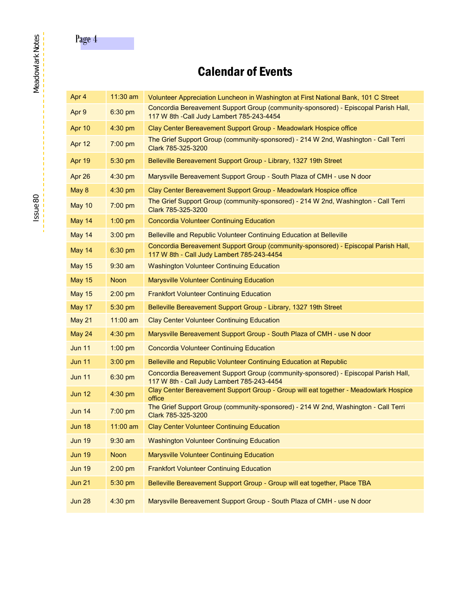### Page 4

### Calendar of Events

| Apr 4         | 11:30 am    | Volunteer Appreciation Luncheon in Washington at First National Bank, 101 C Street                                               |
|---------------|-------------|----------------------------------------------------------------------------------------------------------------------------------|
| Apr 9         | 6:30 pm     | Concordia Bereavement Support Group (community-sponsored) - Episcopal Parish Hall,<br>117 W 8th - Call Judy Lambert 785-243-4454 |
| Apr 10        | 4:30 pm     | Clay Center Bereavement Support Group - Meadowlark Hospice office                                                                |
| Apr 12        | 7:00 pm     | The Grief Support Group (community-sponsored) - 214 W 2nd, Washington - Call Terri<br>Clark 785-325-3200                         |
| Apr 19        | 5:30 pm     | Belleville Bereavement Support Group - Library, 1327 19th Street                                                                 |
| Apr 26        | 4:30 pm     | Marysville Bereavement Support Group - South Plaza of CMH - use N door                                                           |
| May 8         | 4:30 pm     | Clay Center Bereavement Support Group - Meadowlark Hospice office                                                                |
| May 10        | 7:00 pm     | The Grief Support Group (community-sponsored) - 214 W 2nd, Washington - Call Terri<br>Clark 785-325-3200                         |
| May 14        | $1:00$ pm   | <b>Concordia Volunteer Continuing Education</b>                                                                                  |
| May 14        | $3:00$ pm   | Belleville and Republic Volunteer Continuing Education at Belleville                                                             |
| May 14        | 6:30 pm     | Concordia Bereavement Support Group (community-sponsored) - Episcopal Parish Hall,<br>117 W 8th - Call Judy Lambert 785-243-4454 |
| <b>May 15</b> | $9:30$ am   | <b>Washington Volunteer Continuing Education</b>                                                                                 |
| <b>May 15</b> | <b>Noon</b> | Marysville Volunteer Continuing Education                                                                                        |
| <b>May 15</b> | $2:00$ pm   | <b>Frankfort Volunteer Continuing Education</b>                                                                                  |
| May 17        | 5:30 pm     | Belleville Bereavement Support Group - Library, 1327 19th Street                                                                 |
| <b>May 21</b> | 11:00 am    | <b>Clay Center Volunteer Continuing Education</b>                                                                                |
| May 24        | 4:30 pm     | Marysville Bereavement Support Group - South Plaza of CMH - use N door                                                           |
| <b>Jun 11</b> | $1:00$ pm   | <b>Concordia Volunteer Continuing Education</b>                                                                                  |
| <b>Jun 11</b> | 3:00 pm     | Belleville and Republic Volunteer Continuing Education at Republic                                                               |
| <b>Jun 11</b> | 6:30 pm     | Concordia Bereavement Support Group (community-sponsored) - Episcopal Parish Hall,<br>117 W 8th - Call Judy Lambert 785-243-4454 |
| <b>Jun 12</b> | 4:30 pm     | Clay Center Bereavement Support Group - Group will eat together - Meadowlark Hospice<br>office                                   |
| <b>Jun 14</b> | 7:00 pm     | The Grief Support Group (community-sponsored) - 214 W 2nd, Washington - Call Terri<br>Clark 785-325-3200                         |
| <b>Jun 18</b> | 11:00 am    | <b>Clay Center Volunteer Continuing Education</b>                                                                                |
| <b>Jun 19</b> | $9:30$ am   | <b>Washington Volunteer Continuing Education</b>                                                                                 |
| <b>Jun 19</b> | <b>Noon</b> | <b>Marysville Volunteer Continuing Education</b>                                                                                 |
| <b>Jun 19</b> | $2:00$ pm   | <b>Frankfort Volunteer Continuing Education</b>                                                                                  |
| <b>Jun 21</b> | 5:30 pm     | Belleville Bereavement Support Group - Group will eat together, Place TBA                                                        |
| <b>Jun 28</b> | 4:30 pm     | Marysville Bereavement Support Group - South Plaza of CMH - use N door                                                           |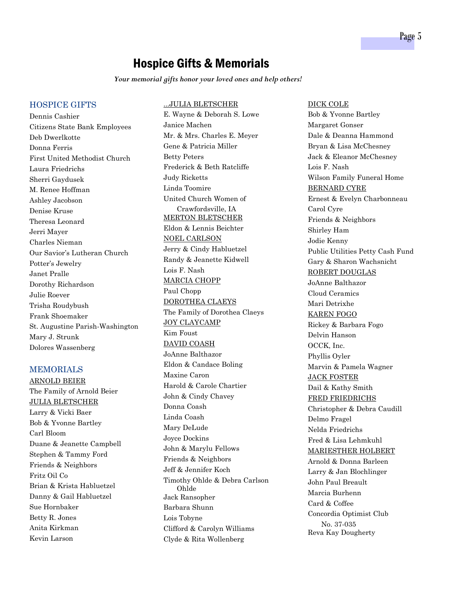### Hospice Gifts & Memorials

*Your memorial gifts honor your loved ones and help others!* 

#### HOSPICE GIFTS

Dennis Cashier Citizens State Bank Employees Deb Dwerlkotte Donna Ferris First United Methodist Church Laura Friedrichs Sherri Gaydusek M. Renee Hoffman Ashley Jacobson Denise Kruse Theresa Leonard Jerri Mayer Charles Nieman Our Savior's Lutheran Church Potter's Jewelry Janet Pralle Dorothy Richardson Julie Roever Trisha Roudybush Frank Shoemaker St. Augustine Parish-Washington Mary J. Strunk Dolores Wassenberg

#### MEMORIALS

ARNOLD BEIER The Family of Arnold Beier JULIA BLETSCHER Larry & Vicki Baer Bob & Yvonne Bartley Carl Bloom Duane & Jeanette Campbell Stephen & Tammy Ford Friends & Neighbors Fritz Oil Co Brian & Krista Habluetzel Danny & Gail Habluetzel Sue Hornbaker Betty R. Jones Anita Kirkman Kevin Larson

#### ...JULIA BLETSCHER

E. Wayne & Deborah S. Lowe Janice Machen Mr. & Mrs. Charles E. Meyer Gene & Patricia Miller Betty Peters Frederick & Beth Ratcliffe Judy Ricketts Linda Toomire United Church Women of Crawfordsville, IA MERTON BLETSCHER Eldon & Lennis Beichter NOEL CARLSON Jerry & Cindy Habluetzel Randy & Jeanette Kidwell Lois F. Nash MARCIA CHOPP Paul Chopp DOROTHEA CLAEYS The Family of Dorothea Claeys JOY CLAYCAMP Kim Foust DAVID COASH JoAnne Balthazor Eldon & Candace Boling Maxine Caron Harold & Carole Chartier John & Cindy Chavey Donna Coash Linda Coash Mary DeLude Joyce Dockins John & Marylu Fellows Friends & Neighbors Jeff & Jennifer Koch Timothy Ohlde & Debra Carlson Ohlde Jack Ransopher Barbara Shunn Lois Tobyne Clifford & Carolyn Williams Clyde & Rita Wollenberg

#### DICK COLE

Bob & Yvonne Bartley Margaret Gonser Dale & Deanna Hammond Bryan & Lisa McChesney Jack & Eleanor McChesney Lois F. Nash Wilson Family Funeral Home BERNARD CYRE Ernest & Evelyn Charbonneau Carol Cyre Friends & Neighbors Shirley Ham Jodie Kenny Public Utilities Petty Cash Fund Gary & Sharon Wachsnicht ROBERT DOUGLAS JoAnne Balthazor Cloud Ceramics Mari Detrixhe KAREN FOGO Rickey & Barbara Fogo Delvin Hanson OCCK, Inc. Phyllis Oyler Marvin & Pamela Wagner JACK FOSTER Dail & Kathy Smith FRED FRIEDRICHS Christopher & Debra Caudill Delmo Fragel Nelda Friedrichs Fred & Lisa Lehmkuhl MARIESTHER HOLBERT Arnold & Donna Barleen Larry & Jan Blochlinger John Paul Breault Marcia Burhenn Card & Coffee Concordia Optimist Club No. 37-035 Reva Kay Dougherty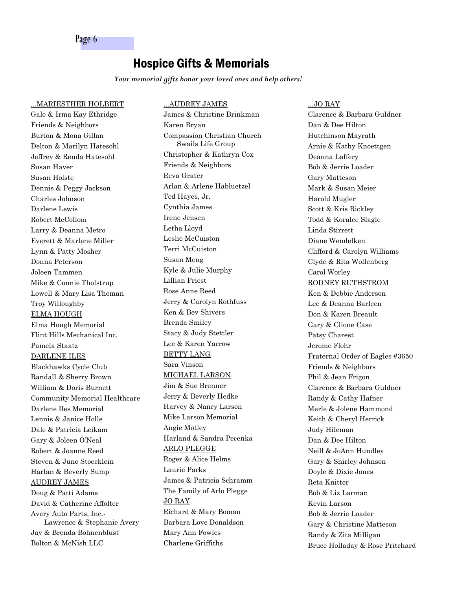Page 6

### Hospice Gifts & Memorials

*Your memorial gifts honor your loved ones and help others!* 

#### ...MARIESTHER HOLBERT

Gale & Irma Kay Ethridge Friends & Neighbors Burton & Mona Gillan Delton & Marilyn Hatesohl Jeffrey & Renda Hatesohl Susan Haver Susan Holste Dennis & Peggy Jackson Charles Johnson Darlene Lewis Robert McCollom Larry & Deanna Metro Everett & Marlene Miller Lynn & Patty Mosher Donna Peterson Joleen Tammen Mike & Connie Tholstrup Lowell & Mary Lisa Thoman Troy Willoughby ELMA HOUGH Elma Hough Memorial Flint Hills Mechanical Inc. Pamela Staatz DARLENE ILES Blackhawks Cycle Club Randall & Sherry Brown William & Doris Burnett Community Memorial Healthcare Darlene Iles Memorial Lennis & Janice Holle Dale & Patricia Leikam Gary & Joleen O'Neal Robert & Joanne Reed Steven & June Stoecklein Harlan & Beverly Sump AUDREY JAMES Doug & Patti Adams David & Catherine Affolter Avery Auto Parts, Inc.- Lawrence & Stephanie Avery Jay & Brenda Bohnenblust Bolton & McNish LLC

...AUDREY JAMES James & Christine Brinkman Karen Bryan Compassion Christian Church Swails Life Group Christopher & Kathryn Cox Friends & Neighbors Reva Grater Arlan & Arlene Habluetzel Ted Hayes, Jr. Cynthia James Irene Jensen Letha Lloyd Leslie McCuiston Terri McCuiston Susan Meng Kyle & Julie Murphy Lillian Priest Rose Anne Reed Jerry & Carolyn Rothfuss Ken & Bev Shivers Brenda Smiley Stacy & Judy Stettler Lee & Karen Yarrow BETTY LANG Sara Vinson MICHAEL LARSON Jim & Sue Brenner Jerry & Beverly Hedke Harvey & Nancy Larson Mike Larson Memorial Angie Motley Harland & Sandra Pecenka ARLO PLEGGE Roger & Alice Helms Laurie Parks James & Patricia Schramm The Family of Arlo Plegge JO RAY Richard & Mary Boman Barbara Love Donaldson Mary Ann Fowles Charlene Griffiths

...JO RAY

Clarence & Barbara Guldner Dan & Dee Hilton Hutchinson Mayrath Arnie & Kathy Knoettgen Deanna Laffery Bob & Jerrie Loader Gary Matteson Mark & Susan Meier Harold Mugler Scott & Kris Rickley Todd & Koralee Slagle Linda Stirrett Diane Wendelken Clifford & Carolyn Williams Clyde & Rita Wollenberg Carol Worley RODNEY RUTHSTROM Ken & Debbie Anderson Lee & Deanna Barleen Don & Karen Breault Gary & Clione Case Patsy Charest Jerome Flohr Fraternal Order of Eagles #3650 Friends & Neighbors Phil & Jean Frigon Clarence & Barbara Guldner Randy & Cathy Hafner Merle & Jolene Hammond Keith & Cheryl Herrick Judy Hileman Dan & Dee Hilton Neill & JoAnn Hundley Gary & Shirley Johnson Doyle & Dixie Jones Reta Knitter Bob & Liz Larman Kevin Larson Bob & Jerrie Loader Gary & Christine Matteson Randy & Zita Milligan Bruce Holladay & Rose Pritchard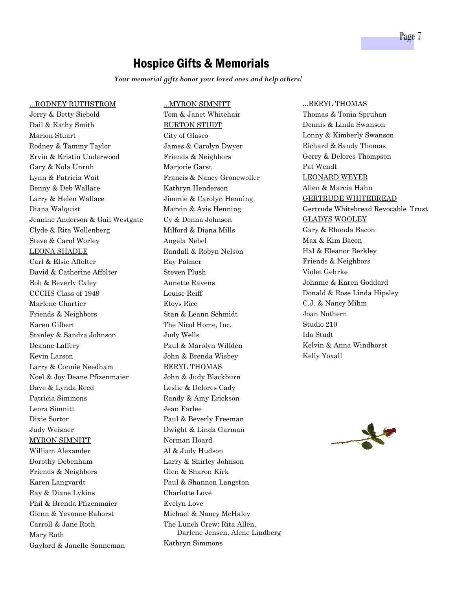### Hospice Gifts & Memorials

...MYRON SIMNITT

*Your memorial gifts honor your loved ones and help others!* 

...RODNEY RUTHSTROM Jerry & Betty Siebold Dail & Kathy Smith Marion Stuart Rodney & Tammy Taylor Ervin & Kristin Underwood Gary & Nola Unruh Lynn & Patricia Wait Benny & Deb Wallace Larry & Helen Wallace Diana Walquist Jeanine Anderson & Gail Westgate Clyde & Rita Wollenberg Steve & Carol Worley LEONA SHADLE Carl & Elsie Affolter David & Catherine Affolter Bob & Beverly Caley CCCHS Class of 1949 Marlene Chartier Friends & Neighbors Karen Gilbert Stanley & Sandra Johnson Deanne Laffery Kevin Larson Larry & Connie Needham Noel & Joy Deane Pfizenmaier Dave & Lynda Reed Patricia Simmons Leora Simnitt Dixie Sortor Judy Weisner MYRON SIMNITT William Alexander Dorothy Debenham Friends & Neighbors Karen Langvardt Ray & Diane Lykins Phil & Brenda Pfizenmaier Glenn & Yevonne Rahorst Carroll & Jane Roth Mary Roth Gaylord & Janelle Sanneman

Tom & Janet Whitehair BURTON STUDT City of Glasco James & Carolyn Dwyer Friends & Neighbors Marjorie Garst Francis & Nancy Gronewoller Kathryn Henderson Jimmie & Carolyn Henning Marvin & Avis Henning Cy & Donna Johnson Milford & Diana Mills Angela Nebel Randall & Robyn Nelson Ray Palmer Steven Plush Annette Ravens Louise Reiff Etoys Rice Stan & Leann Schmidt The Nicol Home, Inc. Judy Wells Paul & Marolyn Willden John & Brenda Wisbey BERYL THOMAS John & Judy Blackburn Leslie & Delores Cady Randy & Amy Erickson Jean Farlee Paul & Beverly Freeman Dwight & Linda Garman Norman Hoard Al & Judy Hudson Larry & Shirley Johnson Glen & Sharon Kirk Paul & Shannon Langston Charlotte Love Evelyn Love Michael & Nancy McHaley The Lunch Crew: Rita Allen, Darlene Jensen, Alene Lindberg Kathryn Simmons

...BERYL THOMAS

Thomas & Tonia Spruhan Dennis & Linda Swanson Lonny & Kimberly Swanson Richard & Sandy Thomas Gerry & Delores Thompson Pat Wendt LEONARD WEYER Allen & Marcia Hahn GERTRUDE WHITEBREAD Gertrude Whitebread Revocable Trust GLADYS WOOLEY Gary & Rhonda Bacon Max & Kim Bacon Hal & Eleanor Berkley Friends & Neighbors Violet Gehrke Johnnie & Karen Goddard Donald & Rose Linda Hipsley C.J. & Nancy Mihm Joan Nothern Studio 210 Ida Studt Kelvin & Anna Windhorst Kelly Yoxall